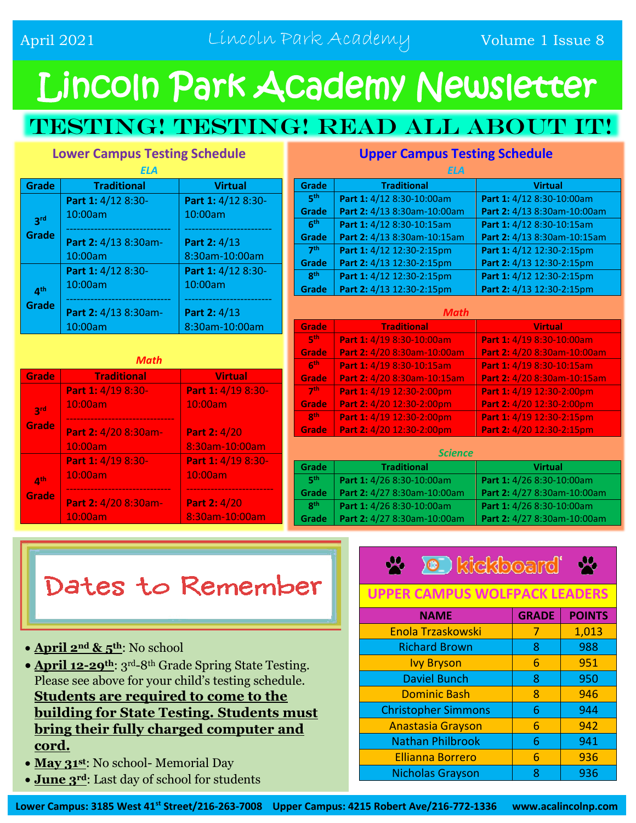# Lincoln Park Academy Newsletter

### TESTING! TESTING! READ ALL ABOUT IT!

#### **Lower Campus Testing Schedule**

| <b>Service Service</b>                                                                                                | <b>Contract Contract Contract Contract Contract Contract Contract Contract Contract Contract Contract Contract Co</b>                    |  |
|-----------------------------------------------------------------------------------------------------------------------|------------------------------------------------------------------------------------------------------------------------------------------|--|
| a sa ba                                                                                                               | ٠                                                                                                                                        |  |
| <b>Contract Contract Contract Contract Contract Contract Contract Contract Contract Contract Contract Contract Co</b> | <b>Service Service</b>                                                                                                                   |  |
|                                                                                                                       | and the state of the state of the state of the state of the state of the state of the state of the state of th<br><b>Service Service</b> |  |

| <b>Grade</b>                   | <b>Traditional</b>   | <b>Virtual</b>     |
|--------------------------------|----------------------|--------------------|
|                                | Part 1: 4/12 8:30-   | Part 1: 4/12 8:30- |
| <b>2rd</b>                     | 10:00am              | 10:00am            |
| Grade                          | Part 2: 4/13 8:30am- | Part 2: 4/13       |
|                                | 10:00am              | 8:30am-10:00am     |
| $\mathbf{\Lambda}^{\text{th}}$ | Part 1: 4/12 8:30-   | Part 1: 4/12 8:30- |
|                                | 10:00am              | 10:00am            |
| <b>Grade</b>                   |                      |                    |
|                                | Part 2: 4/13 8:30am- | Part 2: 4/13       |
|                                | 10:00am              | 8:30am-10:00am     |

| Math                     |                      |                    |  |
|--------------------------|----------------------|--------------------|--|
| Grade                    | <b>Traditional</b>   | <b>Virtual</b>     |  |
|                          | Part 1: 4/19 8:30-   | Part 1: 4/19 8:30- |  |
| 2rd                      | 10:00am              | 10:00am            |  |
| Grade                    |                      |                    |  |
|                          | Part 2: 4/20 8:30am- | Part 2: 4/20       |  |
|                          | 10:00am              | 8:30am-10:00am     |  |
|                          | Part 1: 4/19 8:30-   | Part 1: 4/19 8:30- |  |
| $\mathbf{A}^{\text{th}}$ | 10:00am              | 10:00am            |  |
| Grade                    |                      |                    |  |
|                          | Part 2: 4/20 8:30am- | Part 2: 4/20       |  |
|                          | 10:00am              | 8:30am-10:00am     |  |

| ELA             |                             |                             |
|-----------------|-----------------------------|-----------------------------|
| Grade           | <b>Traditional</b>          | <b>Virtual</b>              |
| 5 <sup>th</sup> | Part 1: 4/12 8:30-10:00am   | Part 1: 4/12 8:30-10:00am   |
| Grade           | Part 2: 4/13 8:30am-10:00am | Part 2: 4/13 8:30am-10:00am |
| 6 <sup>th</sup> | Part 1: 4/12 8:30-10:15am   | Part 1: 4/12 8:30-10:15am   |
| Grade           | Part 2: 4/13 8:30am-10:15am | Part 2: 4/13 8:30am-10:15am |
| 7 <sup>th</sup> | Part 1: 4/12 12:30-2:15pm   | Part 1: 4/12 12:30-2:15pm   |
| Grade           | Part 2: 4/13 12:30-2:15pm   | Part 2: 4/13 12:30-2:15pm   |
| <b>gth</b>      | Part 1: 4/12 12:30-2:15pm   | Part 1: 4/12 12:30-2:15pm   |
| Grade           | Part 2: 4/13 12:30-2:15pm   | Part 2: 4/13 12:30-2:15pm   |
| Math            |                             |                             |

#### **Upper Campus Testing Schedule**

| Grade                    | <b>Traditional</b>          | <b>Virtual</b>              |
|--------------------------|-----------------------------|-----------------------------|
| $\mathbf{F}^{\text{th}}$ | Part 1: 4/19 8:30-10:00am   | Part 1: 4/19 8:30-10:00am   |
| Grade                    | Part 2: 4/20 8:30am-10:00am | Part 2: 4/20 8:30am-10:00am |
| 6 <sup>th</sup>          | Part 1: 4/19 8:30-10:15am   | Part 1: 4/19 8:30-10:15am   |
| Grade                    | Part 2: 4/20 8:30am-10:15am | Part 2: 4/20 8:30am-10:15am |
| 7 <sup>th</sup>          | Part 1: 4/19 12:30-2:00pm   | Part 1: 4/19 12:30-2:00pm   |
| <b>Grade</b>             | Part 2: 4/20 12:30-2:00pm   | Part 2: 4/20 12:30-2:00pm   |
| gth                      | Part 1: 4/19 12:30-2:00pm   | Part 1: 4/19 12:30-2:15pm   |
| Grade                    | Part 2: 4/20 12:30-2:00pm   | Part 2: 4/20 12:30-2:15pm   |
|                          |                             |                             |
| <b>Science</b>           |                             |                             |
|                          |                             |                             |

| .          |                             |                             |  |
|------------|-----------------------------|-----------------------------|--|
| Grade      | <b>Traditional</b>          | <b>Virtual</b>              |  |
| <b>gth</b> | Part 1: 4/26 8:30-10:00am   | Part 1: 4/26 8:30-10:00am   |  |
| Grade      | Part 2: 4/27 8:30am-10:00am | Part 2: 4/27 8:30am-10:00am |  |
| <b>gth</b> | Part 1: 4/26 8:30-10:00am   | Part 1: 4/26 8:30-10:00am   |  |
| Grade      | Part 2: 4/27 8:30am-10:00am | Part 2: 4/27 8:30am-10:00am |  |

## Dates to Remember

- **April 2nd & 5th**: No school
- **April 12-29th**: 3rd-8th Grade Spring State Testing. Please see above for your child's testing schedule. **Students are required to come to the building for State Testing. Students must bring their fully charged computer and cord.**
- **May 31st**: No school- Memorial Day
- **June 3rd**: Last day of school for students

|  | <b>X</b> I kickboard X |  |
|--|------------------------|--|
|  |                        |  |

#### **UPPER CAMPUS WOLFPACK LEADERS**

| <b>NAME</b>                | <b>GRADE</b> | <b>POINTS</b> |
|----------------------------|--------------|---------------|
| <b>Enola Trzaskowski</b>   | 7            | 1,013         |
| <b>Richard Brown</b>       | 8            | 988           |
| <b>Ivy Bryson</b>          | 6            | 951           |
| <b>Daviel Bunch</b>        | 8            | 950           |
| <b>Dominic Bash</b>        | 8            | 946           |
| <b>Christopher Simmons</b> | 6            | 944           |
| <b>Anastasia Grayson</b>   | 6            | 942           |
| <b>Nathan Philbrook</b>    | 6            | 941           |
| <b>Ellianna Borrero</b>    | 6            | 936           |
| <b>Nicholas Grayson</b>    | 8            | 936           |

**Lower Campus: 3185 West 41st Street/216-263-7008 Upper Campus: 4215 Robert Ave/216-772-1336 www.acalincolnp.com**